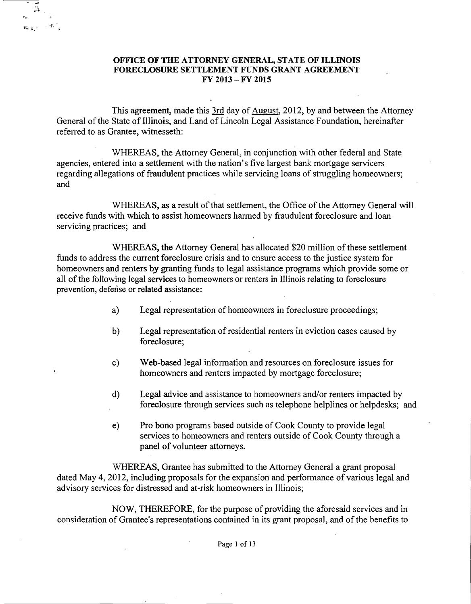## OFFICE OF THE ATTORNEY GENERAL, STATE OF ILLINOIS FORECLOSURE SETTLEMENT FUNDS GRANT AGREEMENT FY 2013 - FY 2015

 $\frac{1}{1}$ 

 $\mathbf{r}_{\mathrm{eff},\mathrm{eff}} \sim \hat{q}_{\mathrm{eff}}^{-1}$ 

 $\tau$ 

This agreement, made this 3rd day of August, 2012, by and between the Attorney General of the State of Illinois, and Land of Lincoln Legal Assistance Foundation, hereinafter referred to as Grantee, witnesseth:

WHEREAS, the Attorney General, in conjunction with other federal and State agencies, entered into a settlement with the nation's five largest bank mortgage servicers regarding allegations of fraudulent practices while servicing loans of struggling homeowners; and

WHEREAS, as a result of that settlement, the Office of the Attorney General will receive funds with which to assist homeowners harmed by fraudulent foreclosure and loan servicing practices; and

WHEREAS, the Attorney General has allocated \$20 million of these settlement funds to address the current foreclosure crisis and to ensure access to the justice system for homeowners and renters by granting funds to legal assistance programs which provide some or all of the following legal services to homeowners or renters in Illinois relating to foreclosure prevention, defense or related assistance:

- a) Legal representation of homeowners in foreclosure proceedings;
- b) Legal representation of residential renters in eviction cases caused by foreclosure;
- c) Web-based legal information and resources on foreclosure issues for homeowners and renters impacted by mortgage foreclosure;
- d) Legal advice and assistance to homeowners and/or renters impacted by foreclosure through services such as telephone helplines or helpdesks; and
- e) Pro bono programs based outside of Cook County to provide legal services to homeowners and renters outside of Cook County through a panel of volunteer attorneys.

WHEREAS, Grantee has submitted to the Attorney General a grant proposal dated May 4, 2012, including proposals for the expansion and performance of various legal and advisory services for distressed and at-risk homeowners in Illinois;

NOW, THEREFORE, for the purpose of providing the aforesaid services and in consideration of Grantee's representations contained in its grant proposal, and of the benefits to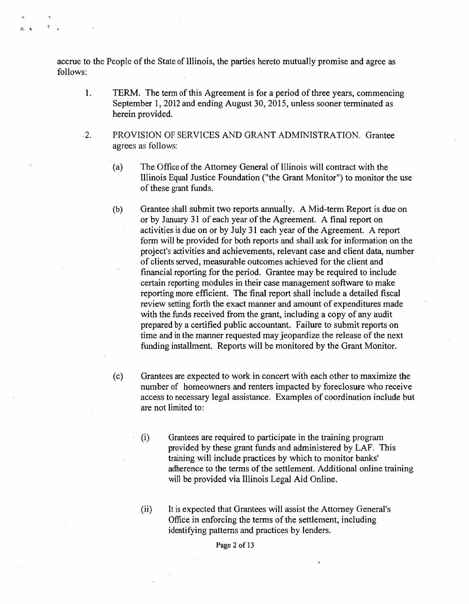accrue to the People of the State of Illinois, the parties hereto mutually promise and agree as follows:

n n

- 1. TERM. The term of this Agreement is for a period of three years, commencing September 1,2012 and ending August 30,2015, unless sooner terminated as herein provided.
- ·2. PROVISION OF SERVICES AND GRANT ADMINISTRATION. Grantee agrees as follows:
	- (a) The Office of the Attorney General of Illinois will contract with the Illinois Equal Justice Foundation ("the Grant Monitor") to monitor the use of these grant funds.
	- (b) Grantee shall submit two reports annually. A Mid-term Report is due on or by January 31 of each year of the Agreement. A final report on activities is due on or by July 31 each year of the Agreement. A report form will be provided for both reports and shall ask for information on the project's activities and achievements, relevant case and client data, number of clients served, measurable outcomes achieved for the client and financial reporting for the period. Grantee may be required to include certain reporting modules in their case management software to make reporting more efficient. The final report shall include a detailed fiscal review setting forth the exact manner and amount of expenditures made with the funds received from the grant, including a copy of any audit prepared by a certified public accountant. Failure to submit reports on time and in the manner requested may jeopardize the release of the next funding installment. Reports will be monitored by the Grant Monitor.
	- (c) Grantees are expected to work in concert with each other to maximize the number of homeowners and renters impacted by foreclosure who receive access to necessary legal assistance. Examples of coordination include but are not limited to:
		- (i) Grantees are required to participate in the training program provided by these grant funds and administered by LAF. This training will include practices by which to monitor banks' adherence to the terms of the settlement. Additional online training will be provided via Illinois Legal Aid Online.
		- (ii) It is expected that Grantees will assist the Attorney General's Office in enforcing the terms of the settlement, including identifying patterns and practices by lenders.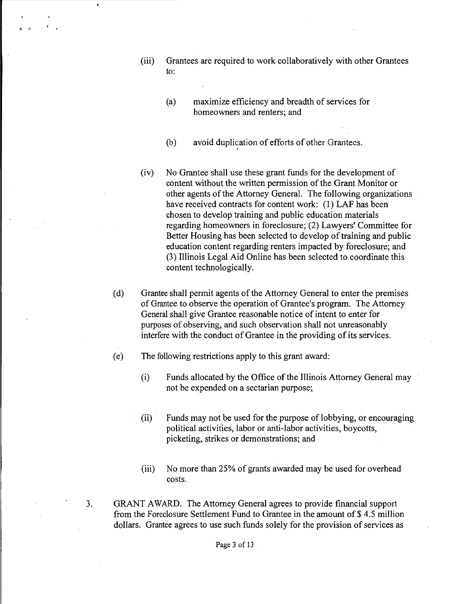- (iii) Grantees are required to work collaboratively with other Grantees to:
	- (a) maximize efficiency and breadth of services for homeowners and renters; and
	- (b) avoid duplication of efforts of other Grantees.
- (iv) No Grantee shall use these grant funds for the development of content without the written permission of the Grant Monitor or other agents of the Attorney General. The following organizations have received contracts for content work: (1) LAF has been chosen to develop training and public education materials . regarding homeowners in foreclosure; (2) Lawyers' Committee for Better Housing has been selected to develop of training and public education content regarding renters impacted by foreclosure; and (3) Illinois Legal Aid Online has been selected to coordinate this content technologically.
- (d) Grantee shall permit agents of the Attorney General to enter the premises of Grantee to observe the operation of Grantee's program. The Attorney General shall give Grantee reasonable notice of intent to enter for purposes of observing, and such observation shall not unreasonably interfere with the conduct of Grantee in the providing of its services.
- (e) The following restrictions apply to this grant award:
	- (i) Funds allocated by the Office of the Illinois Attorney General may not be expended on a sectarian purpose;
	- (ii) Funds may not be used for the purpose of lobbying, or encouraging political activities, labor or anti-labor activities, boycotts, picketing, strikes or demonstrations; and
	- (iii) No more than 25% of grants awarded may be used for overhead costs.
- 3. GRANT AWARD. The Attorney General agrees to provide financial support from the Foreclosure Settlement Fund to Grantee in the amount of \$ 4.5 million dollars. Grantee agrees to use such funds solely for the provision of services as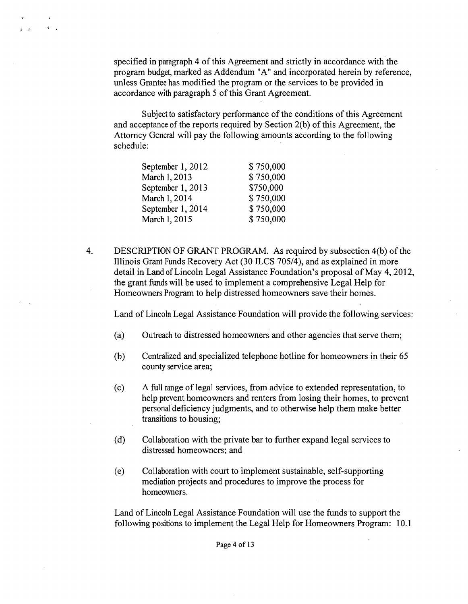specified in paragraph 4 of this Agreement and strictly in accordance with the program budget, marked as Addendum "A" and incorporated herein by reference, unless Granteehas modified the program or the services to be provided in accordance with paragraph 5 of this Grant Agreement.

Subject to satisfactory performance of the conditions of this Agreement and acceptance of the reports required by Section 2(b) of this Agreement, the Attorney General will pay the following amounts according to the following schedule:

| September 1, 2012 | \$750,000 |
|-------------------|-----------|
| March 1, 2013     | \$750,000 |
| September 1, 2013 | \$750,000 |
| March 1, 2014     | \$750,000 |
| September 1, 2014 | \$750,000 |
| March 1, 2015     | \$750,000 |

 $\ddot{\phantom{a}}$ 

4. DESCRIPTION OF GRANT PROGRAM. As required by subsection 4(b) of the Illinois Grant Funds Recovery Act (30 ILCS 70514), and as explained in more detail in Land of Lincoln Legal Assistance Foundation's proposal of May 4, 2012, the grant funds will be used to implement a comprehensive Legal Help for Homeowners Program to help distressed homeowners save their homes.

Land of Lincoln Legal Assistance Foundation will provide the following services:

- (a) Outreach to distressed homeowners and other agencies that serve them;
- (b) Centralized and specialized telephone hotline for homeowners in their 65 county service area;
- (c) A full range of legal services, from advice to extended representation, to help prevent homeowners and renters from losing their homes, to prevent personal deficiency judgments, and to otherwise help them make better transitions to housing;
- (d) Collaboration with the private bar to further expand legal services to distressed homeowners; and
- (e) Collaboration with court to implement sustainable, self-supporting mediation projects and procedures to improve the process for homeowners.

Land of Lincoln Legal Assistance Foundation will use the funds to support the following positions to implement the Legal Help for Homeowners Program: 10.1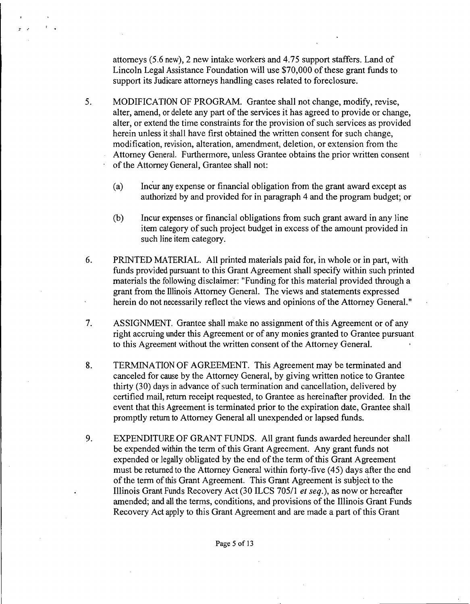attorneys (5.6 new), 2 new intake workers and 4.75 support staffers, Land of Lincoln Legal Assistance Foundation will use \$70,000 of these grant funds to support its Judicare attorneys handling cases related to foreclosure.

*s* ,

- 5. MODIFICATION OF PROGRAM. Grantee shall not change, modify, revise, alter, amend, or delete any part of the services it has agreed to provide or change, alter, or extend the time constraints for the provision of such services as provided herein unless it shall have first obtained the written consent for such change, modification, revision, alteration, amendment, deletion, or extension from the Attorney General. Furthermore, unless Grantee obtains the prior written consent of the Attorney General, Grantee shall not:
	- (a) Incur any expense or financial obligation from the grant award except as authorized by and provided for in paragraph 4 and the program budget; or
	- (b) Incur expensesor financial obligations from such grant award in any line item category of such project budget in excess of the amount provided in such line item category.
- 6. PRINTED MATERIAL. All printed materials paid for, in whole or in part, with funds provided pursuant to this Grant Agreement shall specify within such printed materials the following disclaimer: "Funding for this material provided through a grant from the Illinois Attorney General. The views and statements expressed herein do not necessarily reflect the views and opinions of the Attorney General."
- 7. ASSIGNMENT. Grantee shall make no assignment of this Agreement or of any right accruing under this Agreement or of any monies granted to Grantee pursuant to this Agreement without the written consent of the Attorney General.
- 8. TERMINATION OF AGREEMENT. This Agreement may be terminated and canceled for cause by the Attorney General, by giving written notice to Grantee thirty (30) days in advance of such termination and cancellation, delivered by certified mail, return receipt requested, to Grantee as hereinafter provided. In the event that this Agreement is terminated prior to the expiration date, Grantee shall promptly return to Attorney General all unexpended or lapsed funds.
- 9. EXPENDITURE OF GRANT FUNDS. All grant funds awarded hereunder shall be expended within the term of this Grant Agreement. Any grant funds not expended or legally obligated by the end of the term of this Grant Agreement must be returned to the Attorney General within forty-five (45) days after the end of the term of this Grant Agreement. This Grant Agreement is subject to the Illinois Grant Funds Recovery Act (30 ILCS 70511 *et seq.),* as now or hereafter amended; and all the terms, conditions, and provisions of the Illinois Grant Funds Recovery Act apply to this Grant Agreement and are made a part of this Grant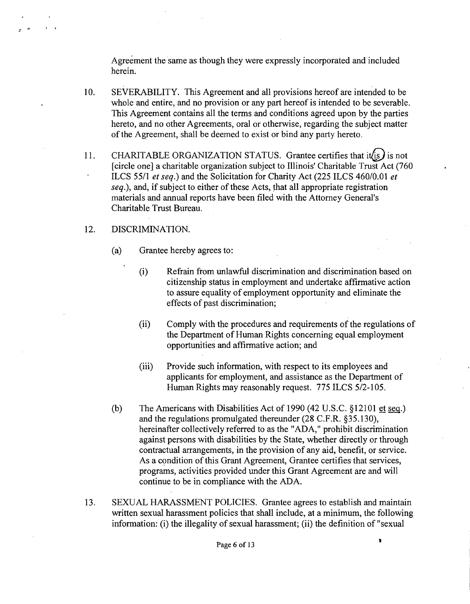Agreement the same as though they were expressly incorporated and included herein.

- IO. SEVERABILITY. This Agreement and all provisions hereof are intended to be whole and entire, and no provision or any part hereof is intended to be severable. This Agreement contains all the terms and conditions agreed upon by the parties hereto, and no other Agreements, oral or otherwise, regarding the subject matter of the Agreement, shall be deemed to exist or bind any party hereto.
- 11. CHARITABLE ORGANIZATION STATUS. Grantee certifies that it is is not [circle one] a charitable organization subject to Illinois' Charitable Trust Act (760 ILCS 55/1 *et seq.)* and the Solicitation for Charity Act (225 ILCS 460/0.01 *et seq.),* and, if subject to either of these Acts, that all appropriate registration materials and annual reports have been filed with the Attorney General's Charitable Trust Bureau.

# 12. DISCRIMINATION.

 $\mathbf{r}$  ,  $\mathbf{r}$ 

- (a) Grantee hereby agrees to:
	- (i) Refrain from unlawful discrimination and discrimination based on citizenship status in employment and undertake affirmative action to assure equality of employment opportunity and eliminate the effects of past discrimination;
	- (ii) Comply with the procedures and requirements of the regulations of the Department of Human Rights concerning equal employment opportunities and affirmative action; and
	- (iii) Provide such information, with respect to its employees and applicants for employment, and assistance as the Department of Human Rights may reasonably request. 775 ILCS 5/2-105.
- (b) The Americans with Disabilities Act of 1990 (42 U.S.C. §12101 et seq.) and the regulations promulgated thereunder (28 C.F.R. §35.130), hereinafter collectively referred to as the "ADA," prohibit discrimination against persons with disabilities by the State, whether directly or through contractual arrangements, in the provision of any aid, benefit, or service. As a condition of this Grant Agreement, Grantee certifies that services, programs, activities provided under this Grant Agreement are and will continue to be in compliance with the ADA.
- 13. SEXUAL HARASSMENT POLICIES. Grantee agrees to establish and maintain written sexual harassment policies that shall include, at a minimum, the following information: (i) the illegality of sexual harassment; (ii) the definition of "sexual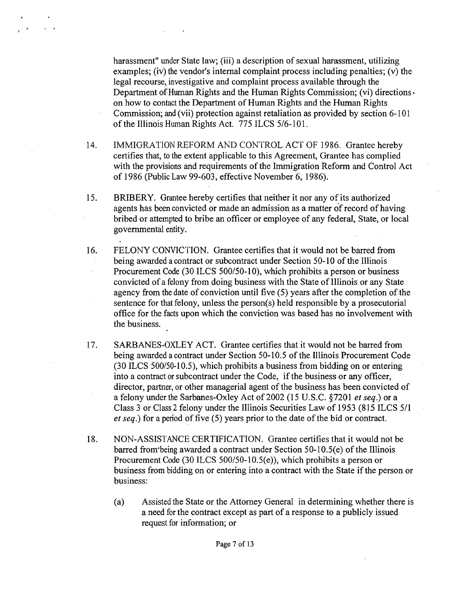harassment" under State law; (iii) a description of sexual harassment, utilizing examples; (iv) the vendor's internal complaint process including penalties; (v) the legal recourse, investigative and complaint process available through the Department of Human Rights and the Human Rights Commission; (vi) directionson how to contact the Department of Human Rights and the Human Rights Commission; and (vii) protection against retaliation as provided by section 6-101 of the Illinois Human Rights Act. 775 ILCS 5/6-101.

- 14. IMMIGRATION REFORM AND CONTROL ACT OF 1986. Grantee hereby certifies that, to the extent applicable to this Agreement, Grantee has complied with the provisions and requirements of the Immigration Reform and Control Act of 1986 (Public Law 99-603, effective November 6, 1986).
- 15. BRIBERY. Grantee hereby certifies that neither it nor any of its authorized agents has been convicted or made an admission as a matter of record of having bribed or attempted to bribe an officer or employee of any federal, State, or local governmental entity.
- 16. FELONY CONVICTION. Grantee certifies that it would not be barred from being awarded a contract or subcontract under Section 50-10 of the Illinois Procurement Code (30 ILCS 500/50-10), which prohibits a person or business convicted of a felony from doing business with the State of Illinois or any State agency from thedate of conviction until five (5) years after the completion of-the sentence for that felony, unless the person(s) held responsible by a prosecutorial office for the facts upon which the conviction was based has no involvement with the business.
- 17. SARBANES-OXLEY ACT. Grantee certifies that it would not be barred from being awarded a contract under Section 50-10.5 of the Illinois Procurement Code (30 ILCS 500/50-10.5), which prohibits a business from bidding on or entering into a contract or subcontract under the Code, if the business or any officer, director, partner, or other managerial agent of the business has been convicted of a felony under the Sarbanes-Oxley Act of 2002 (15 V.S.c. §7201 *et seq.)* or a Class 3 or Class2 felony under the Illinois Securities Law of 1953 (815 ILCS 5/1 *et seq.)* for a period of five (5) years prior to the date of the bid or contract.
- 18. NON-ASSISTANCE CERTIFICATION. Grantee certifies that it would not be barred from-being awarded a contract under Section 50-10.5(e) of the Illinois Procurement Code (30 ILCS 500/50-10.5(e)), which prohibits a person or business from bidding on or entering into a contract with the State if the person or business:
	- (a) Assisted the State or the Attorney General in determining whether there is a need for the contract except as part of a response to a publicly issued request for information; or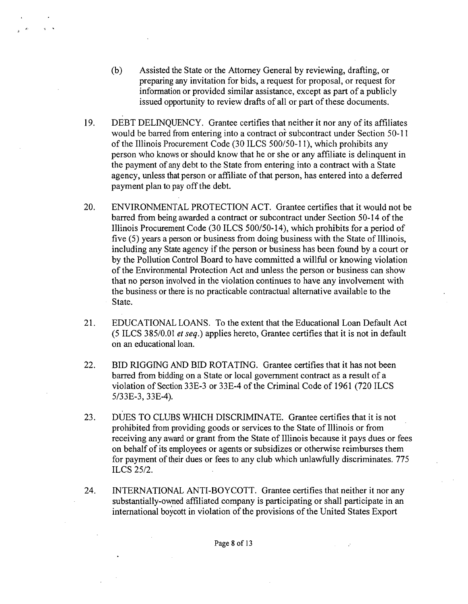(b) Assisted the State or the Attorney General by reviewing, drafting, or preparing any invitation for bids, a request for proposal, or request for information or provided similar assistance, except as part of a publicly issued opportunity to review drafts of all or part of these documents.

 $\cdot$   $\cdot$ 

- 19. DEBT DELINQUENCY. Grantee certifies that neither it nor any of its affiliates would be barred from entering into a contract of subcontract under Section 50-11 of the Illinois Procurement Code (30 ILCS 500/50-11), which prohibits any person who knows or should know that he or she or any affiliate is delinquent in the payment of anydebt to the State from entering into a contract with a State agency, unless that person or affiliate of that person, has entered into a deferred payment plan to pay off the debt.
- 20. ENVIRONMENTAL PROTECTION ACT. Grantee certifies that it would not be barred from being awarded a contract or subcontract under Section 50-14 of the Illinois Procurement Code (30 ILCS 500/50-14), which prohibits for a period of five (5) years a person or business from doing business with the State of Illinois, including any State agency if the person or business has been found by a court or by the Pollution Control Board to have committed a willful or knowing violation of the Environmental Protection Act and unless the person or business can show that no person involved in the violation continues to have any involvement with the business or there is no practicable contractual alternative available to the State.
- 21. EDUCATIONAL LOANS. To the extent that the Educational Loan Default Act (5 ILCS 385/0.01 *et seq.)* applies hereto, Grantee certifies that it is not in default on an educational loan.
- 22. BID RIGGING AND BID ROTATING. Grantee certifies that it has not been barred from bidding on a State or local government contract as a result of a violation of Section 33E-3 or 33E-4 of the Criminal Code of 1961 (720 ILCS 5/33E-3, 33E-4).
- 23. DUES TO CLUBS WHICH DISCRIMINATE. Grantee certifies that it is not prohibited from providing goods or services to the State of Illinois or from receiving any award or grant from the State of Illinois because it pays dues or fees on behalf of its employees or agents or subsidizes or otherwise reimburses them for payment of their dues or fees to any club which unlawfully discriminates. 775 ILCS 25/2.
- 24. INTERNATIONAL ANTI-BOYCOTT. Grantee certifies that neither it nor any substantially-owned affiliated company is participating or shall participate in an international boycott in violation of the provisions of the United States Export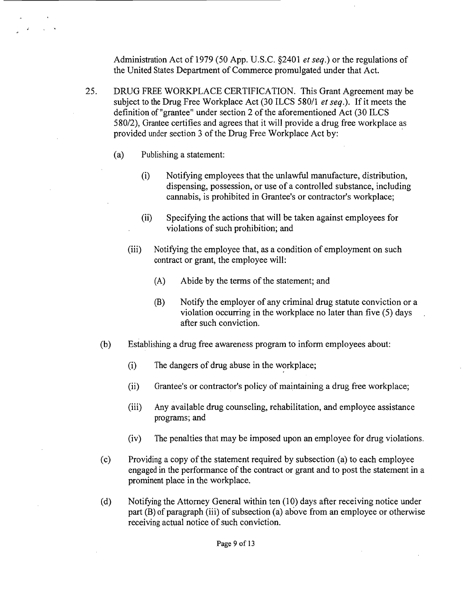Administration Act of 1979 (50 App. U.S.C. §2401 *et seq.)* or the regulations of the United States Department of Commerce promulgated under that Act.

- 25. DRUG FREE WORKPLACE CERTIFICATION. This Grant Agreement may be subject to the Drug Free Workplace Act (30 ILCS 580/1 *et seq.*). If it meets the definition of "grantee" under section 2 of the aforementioned Act (30 ILCS) 580/2), Grantee certifies and agrees that it will provide a drug free workplace as provided under section 3 of the Drug Free Workplace Act by: .
	- (a) Publishing a statement:
		- (i) Notifying employees that the unlawful manufacture, distribution, dispensing, possession, or use of a controlled substance, including cannabis, is prohibited in Grantee's or contractor's workplace;
		- (ii) Specifying the actions that will be taken against employees for violations of such prohibition; and
		- (iii) Notifying the employee that, as a condition of employment on such contract or grant, the employee will:
			- (A) Abide by the terms of the statement; and
			- (B) Notify the employer of any criminal drug statute conviction or a violation occurring in the workplace no later than five (5) days after such conviction.
	- (b) Establishing a drug free awareness program to inform employees about:
		- (i) The dangers of drug abuse in the workplace;
		- (ii) Grantee's or contractor's policy of maintaining a drug free workplace;
		- (iii) Any available drug counseling, rehabilitation, and employee assistance programs; and
		- (iv) The penalties that may be imposed upon an employee for drug violations.
	- (c) Providinga copy ofthe statement required by subsection (a) to each employee engaged in the performance of the contract or grant and to post the statement in a prominent place in the workplace.
	- (d) Notifying the Attorney General within ten (10) days after receiving notice under part  $(B)$  of paragraph (iii) of subsection (a) above from an employee or otherwise receivingactual notice of such conviction.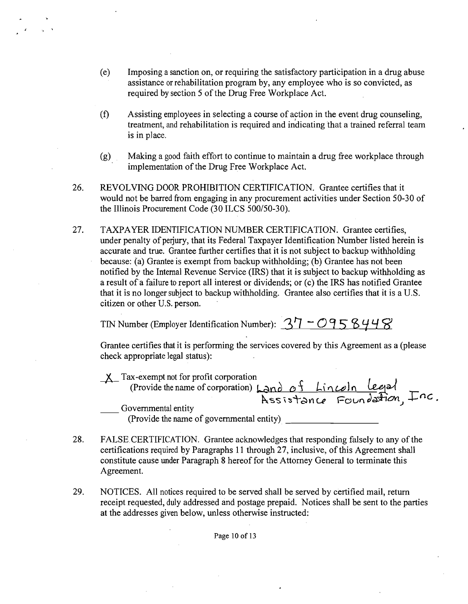- (e) Imposing a sanction on, or requiring the satisfactory participation in a drug abuse assistance orrehabilitation program by, any employee who is so convicted, as required by section 5 of the Drug Free Workplace Act.
- (f) Assisting employees in selecting a course of action in the event drug counseling, treatment, and rehabilitation is required and indicating that a trained referral team is in place.
- (g) Making a good faith effort to continue to maintain a drug free workplace through implementation of the Drug Free Workplace Act.
- 26. REVOLVING DOOR PROHIBITION CERTIFICATION. Grantee certifies that it would not be barred from engaging in any procurement activities under Section 50-30 of the Illinois Procurement Code (30 ILCS 500/50-30).
- 27. TAXPAYER IDENTIFICATION NUMBER CERTIFICATION. Grantee certifies, under penalty of perjury, that its Federal Taxpayer Identification Number listed herein is accurate and true. Grantee further certifies that it is not subject to backup withholding because: (a) Granteeis exempt from backup withholding; (b) Grantee has not been notified by the Internal Revenue Service (IRS) that it is subject to backup withholding as a result of a failure to report all interest or dividends; or (c) the IRS has notified Grantee that it is no longer subject to backup withholding. Grantee also certifies that it is a U.S. citizen or other U.S. person.

TIN Number (Employer Identification Number):  $37 - 0958448$ 

Grantee certifies that it is performing the services covered by this Agreement as a (please check appropriate legal status):

 $\underline{\mathsf{X}}$  Tax-exempt not for profit corporation x-exempt not for profit corporation<br>(Provide the name of corporation)  $\text{Land } \text{of }$   $\text{Lin}$   $\text{Coh}$   $\text{Leg}$ Foundation, Fac.

(Provide the name of governmental entity)

- 28. FALSE CERTIFICATION. Grantee acknowledges that responding falsely to any of the certifications required by Paragraphs 11 through 27, inclusive, of this Agreement shall constitute cause under Paragraph 8 hereof for the Attorney General to terminate this Agreement.
- 29. NOTICES. All notices required to be served shall be served by certified mail, return receipt requested, duly addressed and postage prepaid. Notices shall be sent to the parties at the addresses given below, unless otherwise instructed:

Page 10 of 13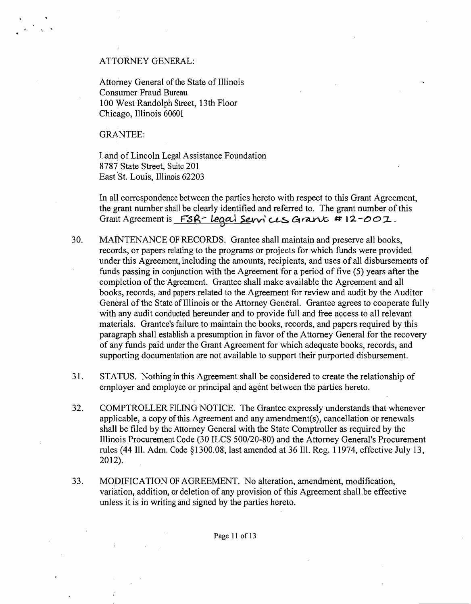### ATTORNEY GENERAL:

Attorney General of the State of Illinois Consumer Fraud Bureau 100 West Randolph Street, 13th Floor Chicago, Illinois 6060I

GRANTEE:

Land of Lincoln Legal Assistance Foundation 8787 State Street, Suite 201 East'St. Louis, Illinois 62203

In all correspondence between the parties hereto with respect to this Grant Agreement, the grant number shall be clearly identified and referred to. The grant number of this Grant Agreement is FSR- Legal Services Grant # 12-001.

- 30. MAINTENANCE OF RECORDS. Grantee shall maintain and preserve all books, records, or papers relating to the programs or projects for which funds were provided under this Agreement, including the amounts, recipients, and uses of all disbursements of funds passing in conjunction with the Agreement for a period of five (5) years after the completion ofthe Agreement. Grantee shall make available the Agreement and all books, records, and papers related to the Agreement for review and audit by the Auditor General of the State of Illinois or the Attorney General. Grantee agrees to cooperate fully with any audit conducted hereunder and to provide full and free access to all relevant materials. Grantee's failure to maintain the books, records, and papers required by this paragraph shall establish a presumption in favor of the Attorney General for the recovery of any funds paid under the Grant Agreement for which adequate books, records, and supporting documentation are not available to support their purported disbursement.
- 31. STATUS. Nothing inthis Agreement shall be considered to create the relationship of employer and employee or principal and agent between the parties hereto.
- 32. COMPTROLLER FILING NOTICE. The Grantee expressly understands that whenever applicable, a copy of this Agreement and any amendment(s), cancellation or renewals shall be filed by the Attorney General with the State Comptroller as required by the Illinois Procurement Code (30 ILCS 500120-80) and the Attorney General's Procurement rules (44 Ill. Adm. Code §1300.08, last amended at 36 Ill. Reg. 11974, effective July 13, 2012).
- 33. MODIFICATION OF AGREEMENT. No alteration, amendment, modification, variation, addition, or deletion of any provision of this Agreement shall.be effective unless it is in writing and signed by the parties hereto.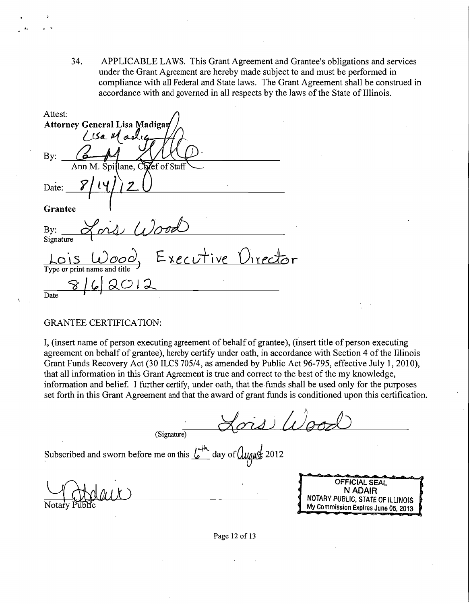34. APPLICABLE LAWS. This Grant Agreement and Grantee's obligations and services under the Grant Agreement are hereby made subject to and must be performed in compliance with all Federal and State laws. The Grant Agreement shall be construed in accordance with and governed in all respects by the laws of the State of Illinois.

Attest: Attorney General Lisa Madiga  $1$  is a  $11$  and By:  $Z$ ef of Staf lane. C Date: *1* | **1** | <u>*Z* U</u> Grantee By: ~) Wo-J;J Signature Lo\s *WOOd E'J.ec u-+ive* OlreJor Type or print name and title  $\rightarrow$  $8162012$ Date  $\overline{\phantom{a}}$  . The set of  $\overline{\phantom{a}}$ 

#### GRANTEE CERTIFICATION:

I, (insert name of person executing agreement of behalf of grantee), (insert title of person executing agreement on behalf of grantee), hereby certify under oath, in accordance with Section 4 of the Illinois Grant Funds Recovery Act (30 ILCS 705/4, as amended by Public Act 96-795, effective July 1,2010), that all information in this Grant Agreement is true and correct to the best of the my knowledge, information and belief. I further certify, under oath, that the funds shall be used only for the purposes set forth in this Grant Agreement and that the award of grant funds is conditioned upon this certification.

(Signature)

Subscribed and sworn before me on this  $\frac{L}{2}$  day of  $\frac{L}{2012}$ 



Page 12 of 13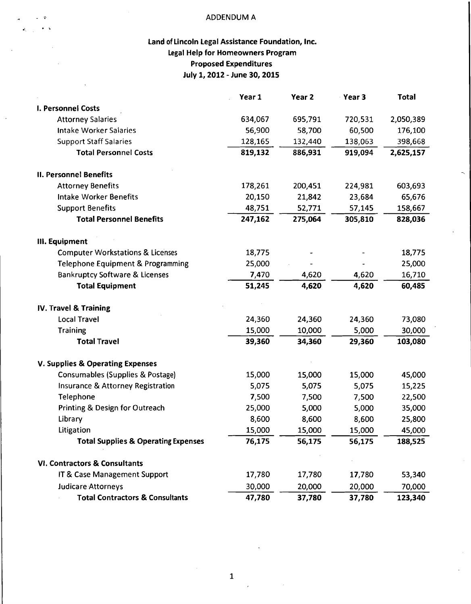### • "0 ADDENDUM A

 $\lambda$ 

# Land of Lincoln Legal Assistance Foundation, Inc. Legal Help for Homeowners Program Proposed Expenditures July 1, 2012 - June 30, 2015

|                                                | Year 1  | Year <sub>2</sub> | Year 3  | <b>Total</b> |
|------------------------------------------------|---------|-------------------|---------|--------------|
| I. Personnel Costs                             |         |                   |         |              |
| <b>Attorney Salaries</b>                       | 634,067 | 695,791           | 720,531 | 2,050,389    |
| <b>Intake Worker Salaries</b>                  | 56,900  | 58,700            | 60,500  | 176,100      |
| <b>Support Staff Salaries</b>                  | 128,165 | 132,440           | 138,063 | 398,668      |
| <b>Total Personnel Costs</b>                   | 819,132 | 886,931           | 919,094 | 2,625,157    |
| <b>II. Personnel Benefits</b>                  |         |                   |         |              |
| <b>Attorney Benefits</b>                       | 178,261 | 200,451           | 224,981 | 603,693      |
| <b>Intake Worker Benefits</b>                  | 20,150  | 21,842            | 23,684  | 65,676       |
| <b>Support Benefits</b>                        | 48,751  | 52,771            | 57,145  | 158,667      |
| <b>Total Personnel Benefits</b>                | 247,162 | 275,064           | 305,810 | 828,036      |
| III. Equipment                                 |         |                   |         |              |
| <b>Computer Workstations &amp; Licenses</b>    | 18,775  |                   |         | 18,775       |
| Telephone Equipment & Programming              | 25,000  |                   |         | 25,000       |
| <b>Bankruptcy Software &amp; Licenses</b>      | 7,470   | 4,620             | 4,620   | 16,710       |
| <b>Total Equipment</b>                         | 51,245  | 4,620             | 4,620   | 60,485       |
| <b>IV. Travel &amp; Training</b>               |         |                   |         |              |
| <b>Local Travel</b>                            | 24,360  | 24,360            | 24,360  | 73,080       |
| Training                                       | 15,000  | 10,000            | 5,000   | 30,000       |
| <b>Total Travel</b>                            | 39,360  | 34,360            | 29,360  | 103,080      |
| <b>V. Supplies &amp; Operating Expenses</b>    |         |                   |         |              |
| <b>Consumables (Supplies &amp; Postage)</b>    | 15,000  | 15,000            | 15,000  | 45,000       |
| <b>Insurance &amp; Attorney Registration</b>   | 5,075   | 5,075             | 5,075   | 15,225       |
| Telephone                                      | 7,500   | 7,500             | 7,500   | 22,500       |
| Printing & Design for Outreach                 | 25,000  | 5,000             | 5,000   | 35,000       |
| Library                                        | 8,600   | 8,600             | 8,600   | 25,800       |
| Litigation                                     | 15,000  | 15,000            | 15,000  | 45,000       |
| <b>Total Supplies &amp; Operating Expenses</b> | 76,175  | 56,175            | 56,175  | 188,525      |
| <b>VI. Contractors &amp; Consultants</b>       |         |                   |         |              |
| IT & Case Management Support                   | 17,780  | 17,780            | 17,780  | 53,340       |
| <b>Judicare Attorneys</b>                      | 30,000  | 20,000            | 20,000  | 70,000       |
| <b>Total Contractors &amp; Consultants</b>     | 47,780  | 37,780            | 37,780  | 123,340      |